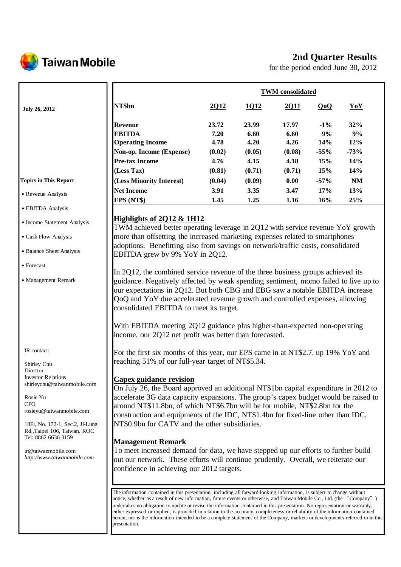

# **2nd Quarter Results**

for the period ended June 30, 2012

|                                                                 |                                                                                                                                                                                                                                                                                                                                                                                                                                                                                                                                                                                                                                                       | <b>TWM</b> consolidated |             |             |        |           |  |
|-----------------------------------------------------------------|-------------------------------------------------------------------------------------------------------------------------------------------------------------------------------------------------------------------------------------------------------------------------------------------------------------------------------------------------------------------------------------------------------------------------------------------------------------------------------------------------------------------------------------------------------------------------------------------------------------------------------------------------------|-------------------------|-------------|-------------|--------|-----------|--|
| <b>July 26, 2012</b>                                            | NT\$bn                                                                                                                                                                                                                                                                                                                                                                                                                                                                                                                                                                                                                                                | 2012                    | <u>1012</u> | <u>2011</u> | QoQ    | YoY       |  |
|                                                                 | <b>Revenue</b>                                                                                                                                                                                                                                                                                                                                                                                                                                                                                                                                                                                                                                        | 23.72                   | 23.99       | 17.97       | $-1\%$ | 32%       |  |
|                                                                 | <b>EBITDA</b>                                                                                                                                                                                                                                                                                                                                                                                                                                                                                                                                                                                                                                         | 7.20                    | 6.60        | 6.60        | 9%     | 9%        |  |
|                                                                 | <b>Operating Income</b>                                                                                                                                                                                                                                                                                                                                                                                                                                                                                                                                                                                                                               | 4.78                    | 4.20        | 4.26        | 14%    | 12%       |  |
|                                                                 | Non-op. Income (Expense)                                                                                                                                                                                                                                                                                                                                                                                                                                                                                                                                                                                                                              | (0.02)                  | (0.05)      | (0.08)      | $-55%$ | $-73%$    |  |
|                                                                 | <b>Pre-tax Income</b>                                                                                                                                                                                                                                                                                                                                                                                                                                                                                                                                                                                                                                 | 4.76                    | 4.15        | 4.18        | 15%    | 14%       |  |
|                                                                 | (Less Tax)                                                                                                                                                                                                                                                                                                                                                                                                                                                                                                                                                                                                                                            | (0.81)                  | (0.71)      | (0.71)      | 15%    | 14%       |  |
| <b>Topics in This Report</b>                                    | (Less Minority Interest)                                                                                                                                                                                                                                                                                                                                                                                                                                                                                                                                                                                                                              | (0.04)                  | (0.09)      | 0.00        | $-57%$ | <b>NM</b> |  |
|                                                                 | <b>Net Income</b>                                                                                                                                                                                                                                                                                                                                                                                                                                                                                                                                                                                                                                     | 3.91                    | 3.35        | 3.47        | 17%    | 13%       |  |
| • Revenue Analysis                                              | EPS (NT\$)                                                                                                                                                                                                                                                                                                                                                                                                                                                                                                                                                                                                                                            | 1.45                    | 1.25        | 1.16        | 16%    | 25%       |  |
| $\bullet$ EBITDA Analysis                                       |                                                                                                                                                                                                                                                                                                                                                                                                                                                                                                                                                                                                                                                       |                         |             |             |        |           |  |
| • Income Statement Analysis                                     | Highlights of 2Q12 & 1H12<br>TWM achieved better operating leverage in 2Q12 with service revenue YoY growth                                                                                                                                                                                                                                                                                                                                                                                                                                                                                                                                           |                         |             |             |        |           |  |
| • Cash Flow Analysis                                            | more than offsetting the increased marketing expenses related to smartphones                                                                                                                                                                                                                                                                                                                                                                                                                                                                                                                                                                          |                         |             |             |        |           |  |
| • Balance Sheet Analysis                                        | adoptions. Benefitting also from savings on network/traffic costs, consolidated<br>EBITDA grew by 9% YoY in 2Q12.                                                                                                                                                                                                                                                                                                                                                                                                                                                                                                                                     |                         |             |             |        |           |  |
| • Forecast                                                      | In 2Q12, the combined service revenue of the three business groups achieved its                                                                                                                                                                                                                                                                                                                                                                                                                                                                                                                                                                       |                         |             |             |        |           |  |
| • Management Remark                                             | guidance. Negatively affected by weak spending sentiment, momo failed to live up to<br>our expectations in 2Q12. But both CBG and EBG saw a notable EBITDA increase<br>QoQ and YoY due accelerated revenue growth and controlled expenses, allowing<br>consolidated EBITDA to meet its target.<br>With EBITDA meeting 2Q12 guidance plus higher-than-expected non-operating<br>income, our 2Q12 net profit was better than forecasted.                                                                                                                                                                                                                |                         |             |             |        |           |  |
| IR contact:                                                     | For the first six months of this year, our EPS came in at NT\$2.7, up 19% YoY and                                                                                                                                                                                                                                                                                                                                                                                                                                                                                                                                                                     |                         |             |             |        |           |  |
| Shirley Chu<br>Director                                         | reaching 51% of our full-year target of NT\$5.34.                                                                                                                                                                                                                                                                                                                                                                                                                                                                                                                                                                                                     |                         |             |             |        |           |  |
| <b>Investor Relations</b>                                       | <b>Capex guidance revision</b>                                                                                                                                                                                                                                                                                                                                                                                                                                                                                                                                                                                                                        |                         |             |             |        |           |  |
| shirleychu@taiwanmobile.com                                     | On July 26, the Board approved an additional NT\$1bn capital expenditure in 2012 to                                                                                                                                                                                                                                                                                                                                                                                                                                                                                                                                                                   |                         |             |             |        |           |  |
| Rosie Yu                                                        | accelerate 3G data capacity expansions. The group's capex budget would be raised to                                                                                                                                                                                                                                                                                                                                                                                                                                                                                                                                                                   |                         |             |             |        |           |  |
| <b>CFO</b>                                                      | around NT\$11.8bn, of which NT\$6.7bn will be for mobile, NT\$2.8bn for the                                                                                                                                                                                                                                                                                                                                                                                                                                                                                                                                                                           |                         |             |             |        |           |  |
| rosieyu@taiwanmobile.com                                        | construction and equipments of the IDC, NT\$1.4bn for fixed-line other than IDC,                                                                                                                                                                                                                                                                                                                                                                                                                                                                                                                                                                      |                         |             |             |        |           |  |
| 18Fl, No. 172-1, Sec.2, Ji-Lung<br>Rd., Taipei 106, Taiwan, ROC | NT\$0.9bn for CATV and the other subsidiaries.                                                                                                                                                                                                                                                                                                                                                                                                                                                                                                                                                                                                        |                         |             |             |        |           |  |
| Tel: 8862 6636 3159                                             | <b>Management Remark</b>                                                                                                                                                                                                                                                                                                                                                                                                                                                                                                                                                                                                                              |                         |             |             |        |           |  |
| ir@taiwanmobile.com                                             | To meet increased demand for data, we have stepped up our efforts to further build                                                                                                                                                                                                                                                                                                                                                                                                                                                                                                                                                                    |                         |             |             |        |           |  |
| http://www.taiwanmobile.com                                     | out our network. These efforts will continue prudently. Overall, we reiterate our                                                                                                                                                                                                                                                                                                                                                                                                                                                                                                                                                                     |                         |             |             |        |           |  |
|                                                                 | confidence in achieving our 2012 targets.                                                                                                                                                                                                                                                                                                                                                                                                                                                                                                                                                                                                             |                         |             |             |        |           |  |
|                                                                 |                                                                                                                                                                                                                                                                                                                                                                                                                                                                                                                                                                                                                                                       |                         |             |             |        |           |  |
|                                                                 | The information contained in this presentation, including all forward-looking information, is subject to change without<br>notice, whether as a result of new information, future events or otherwise, and Taiwan Mobile Co., Ltd. (the "Company")<br>undertakes no obligation to update or revise the information contained in this presentation. No representation or warranty,<br>either expressed or implied, is provided in relation to the accuracy, completeness or reliability of the information contained<br>herein, nor is the information intended to be a complete statement of the Company, markets or developments referred to in this |                         |             |             |        |           |  |

presentation.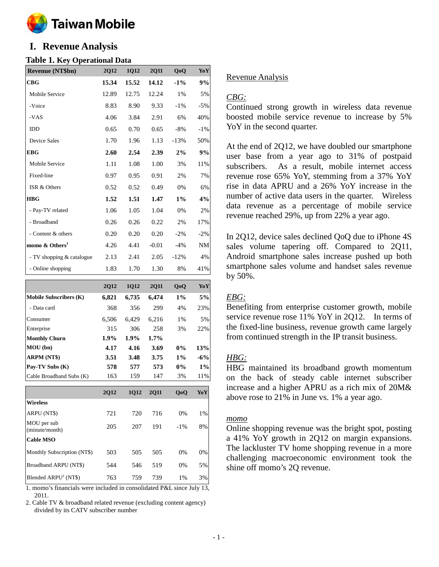

# **I. Revenue Analysis**

## **Table 1. Key Operational Data**

| <b>Revenue (NT\$bn)</b>    | <b>2Q12</b> | <b>1Q12</b> | <b>2Q11</b> | QoQ    | YoY       |
|----------------------------|-------------|-------------|-------------|--------|-----------|
| CBG                        | 15.34       | 15.52       | 14.12       | $-1\%$ | 9%        |
| Mobile Service             | 12.89       | 12.75       | 12.24       | $1\%$  | 5%        |
| -Voice                     | 8.83        | 8.90        | 9.33        | $-1\%$ | $-5%$     |
| -VAS                       | 4.06        | 3.84        | 2.91        | 6%     | 40%       |
| <b>IDD</b>                 | 0.65        | 0.70        | 0.65        | $-8\%$ | $-1\%$    |
| <b>Device Sales</b>        | 1.70        | 1.96        | 1.13        | $-13%$ | 50%       |
| <b>EBG</b>                 | 2.60        | 2.54        | 2.39        | $2\%$  | 9%        |
| Mobile Service             | 1.11        | 1.08        | 1.00        | 3%     | 11%       |
| Fixed-line                 | 0.97        | 0.95        | 0.91        | 2%     | 7%        |
| ISR & Others               | 0.52        | 0.52        | 0.49        | 0%     | 6%        |
| <b>HBG</b>                 | 1.52        | 1.51        | 1.47        | $1\%$  | 4%        |
| - Pay-TV related           | 1.06        | 1.05        | 1.04        | 0%     | 2%        |
| - Broadband                | 0.26        | 0.26        | 0.22        | 2%     | 17%       |
| - Content & others         | 0.20        | 0.20        | 0.20        | $-2\%$ | $-2%$     |
| momo & Others <sup>1</sup> | 4.26        | 4.41        | $-0.01$     | $-4%$  | <b>NM</b> |
| - TV shopping & catalogue  | 2.13        | 2.41        | 2.05        | $-12%$ | 4%        |
| - Online shopping          | 1.83        | 1.70        | 1.30        | 8%     | 41%       |

|                               | <b>2Q12</b> | <b>1Q12</b> | <b>2Q11</b> | QoQ    | YoY   |
|-------------------------------|-------------|-------------|-------------|--------|-------|
| <b>Mobile Subscribers (K)</b> | 6,821       | 6,735       | 6,474       | $1\%$  | 5%    |
| - Data card                   | 368         | 356         | 299         | 4%     | 23%   |
| Consumer                      | 6,506       | 6,429       | 6,216       | 1%     | 5%    |
| Enterprise                    | 315         | 306         | 258         | 3%     | 22%   |
| <b>Monthly Churn</b>          | $1.9\%$     | 1.9%        | $1.7\%$     |        |       |
| MOU (bn)                      | 4.17        | 4.16        | 3.69        | $0\%$  | 13%   |
| ARPM (NT\$)                   | 3.51        | 3.48        | 3.75        | $1\%$  | $-6%$ |
| Pay-TV Subs (K)               | 578         | 577         | 573         | 0%     | 1%    |
| Cable Broadband Subs (K)      | 163         | 159         | 147         | 3%     | 11%   |
|                               | <b>2Q12</b> | <b>1Q12</b> | <b>2011</b> | QoQ    | YoY   |
| <b>Wireless</b>               |             |             |             |        |       |
| ARPU (NT\$)                   | 721         | 720         | 716         | 0%     | 1%    |
| MOU per sub<br>(minute/month) | 205         | 207         | 191         | $-1\%$ | 8%    |

| <b>Cable MSO</b>                 |     |     |     |       |       |
|----------------------------------|-----|-----|-----|-------|-------|
| Monthly Subscription (NT\$)      | 503 | 505 | 505 | $0\%$ | $0\%$ |
| <b>Broadband ARPU (NT\$)</b>     | 544 | 546 | 519 | $0\%$ | .5%   |
| Blended ARPU <sup>2</sup> (NT\$) | 763 | 759 | 739 | $1\%$ | 3%    |

1. momo's financials were included in consolidated P&L since July 13, 2011.

2. Cable TV & broadband related revenue (excluding content agency) divided by its CATV subscriber number

## Revenue Analysis

## *CBG:*

Continued strong growth in wireless data revenue boosted mobile service revenue to increase by 5% YoY in the second quarter.

At the end of 2Q12, we have doubled our smartphone user base from a year ago to 31% of postpaid subscribers. As a result, mobile internet access revenue rose 65% YoY, stemming from a 37% YoY rise in data APRU and a 26% YoY increase in the number of active data users in the quarter. Wireless data revenue as a percentage of mobile service revenue reached 29%, up from 22% a year ago.

In 2Q12, device sales declined QoQ due to iPhone 4S sales volume tapering off. Compared to 2Q11, Android smartphone sales increase pushed up both smartphone sales volume and handset sales revenue by 50%.

## *EBG:*

Benefiting from enterprise customer growth, mobile service revenue rose 11% YoY in 2Q12. In terms of the fixed-line business, revenue growth came largely from continued strength in the IP transit business.

## *HBG:*

HBG maintained its broadband growth momentum on the back of steady cable internet subscriber increase and a higher APRU as a rich mix of 20M& above rose to 21% in June vs. 1% a year ago.

## *momo*

Online shopping revenue was the bright spot, posting a 41% YoY growth in 2Q12 on margin expansions. The lackluster TV home shopping revenue in a more challenging macroeconomic environment took the shine off momo's 2Q revenue.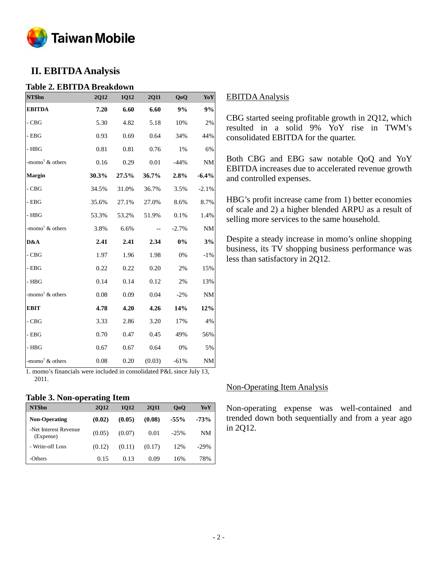

# **II. EBITDA Analysis**

## **Table 2. EBITDA Breakdown**

| NT\$bn                            | 2Q12  | 1Q12  | <b>2Q11</b> | QoQ     | YoY       |
|-----------------------------------|-------|-------|-------------|---------|-----------|
| <b>EBITDA</b>                     | 7.20  | 6.60  | 6.60        | 9%      | 9%        |
| $\mathbf{-C}\mathbf{B}\mathbf{G}$ | 5.30  | 4.82  | 5.18        | 10%     | 2%        |
| $-$ EBG                           | 0.93  | 0.69  | 0.64        | 34%     | 44%       |
| - HBG                             | 0.81  | 0.81  | 0.76        | 1%      | 6%        |
| -momo <sup>1</sup> $\&$ others    | 0.16  | 0.29  | 0.01        | $-44%$  | <b>NM</b> |
| <b>Margin</b>                     | 30.3% | 27.5% | 36.7%       | 2.8%    | $-6.4%$   |
| $-CBG$                            | 34.5% | 31.0% | 36.7%       | 3.5%    | $-2.1%$   |
| $-$ EBG                           | 35.6% | 27.1% | 27.0%       | 8.6%    | 8.7%      |
| $-$ HBG                           | 53.3% | 53.2% | 51.9%       | 0.1%    | 1.4%      |
| -momo <sup>1</sup> $\&$ others    | 3.8%  | 6.6%  |             | $-2.7%$ | <b>NM</b> |
| D&A                               | 2.41  | 2.41  | 2.34        | $0\%$   | 3%        |
| $-CBG$                            | 1.97  | 1.96  | 1.98        | 0%      | $-1\%$    |
| $-$ EBG                           | 0.22  | 0.22  | 0.20        | 2%      | 15%       |
| $-$ HBG                           | 0.14  | 0.14  | 0.12        | 2%      | 13%       |
| -momo <sup>1</sup> $\&$ others    | 0.08  | 0.09  | 0.04        | $-2%$   | <b>NM</b> |
| <b>EBIT</b>                       | 4.78  | 4.20  | 4.26        | 14%     | 12%       |
| $-CBG$                            | 3.33  | 2.86  | 3.20        | 17%     | 4%        |
| $-$ EBG                           | 0.70  | 0.47  | 0.45        | 49%     | 56%       |
| $-$ HBG                           | 0.67  | 0.67  | 0.64        | 0%      | 5%        |
| -momo <sup>1</sup> $\&$ others    | 0.08  | 0.20  | (0.03)      | $-61%$  | <b>NM</b> |

1. momo's financials were included in consolidated P&L since July 13, 2011.

## **Table 3. Non-operating Item**

| NT\$bn                             | <b>2012</b> | 1012   | <b>2011</b> | 0 <sub>0</sub> | YoY    |
|------------------------------------|-------------|--------|-------------|----------------|--------|
| <b>Non-Operating</b>               | (0.02)      | (0.05) | (0.08)      | $-55%$         | $-73%$ |
| -Net Interest Revenue<br>(Expense) | (0.05)      | (0.07) | 0.01        | $-25%$         | NM     |
| - Write-off Loss                   | (0.12)      | (0.11) | (0.17)      | 12%            | $-29%$ |
| -Others                            | 0.15        | 0.13   | 0.09        | 16%            | 78%    |

## EBITDA Analysis

CBG started seeing profitable growth in 2Q12, which resulted in a solid 9% YoY rise in TWM's consolidated EBITDA for the quarter.

Both CBG and EBG saw notable QoQ and YoY EBITDA increases due to accelerated revenue growth and controlled expenses.

HBG's profit increase came from 1) better economies of scale and 2) a higher blended ARPU as a result of selling more services to the same household.

Despite a steady increase in momo's online shopping business, its TV shopping business performance was less than satisfactory in 2Q12.

## Non-Operating Item Analysis

Non-operating expense was well-contained and trended down both sequentially and from a year ago in 2Q12.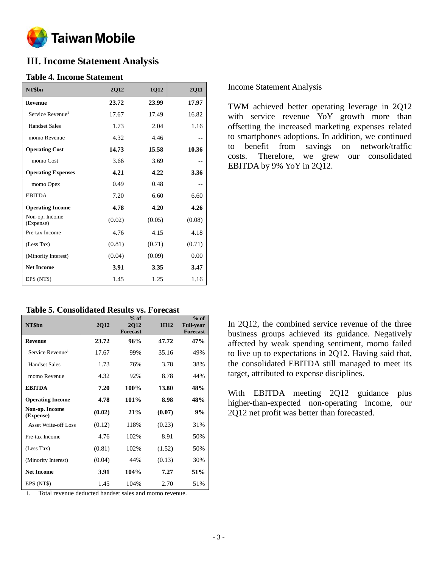

# **III. Income Statement Analysis**

## **Table 4. Income Statement**

| NT\$bn                       | 2Q12   | 1Q12   | 2Q11   |
|------------------------------|--------|--------|--------|
| <b>Revenue</b>               | 23.72  | 23.99  | 17.97  |
| Service Revenue <sup>1</sup> | 17.67  | 17.49  | 16.82  |
| <b>Handset Sales</b>         | 1.73   | 2.04   | 1.16   |
| momo Revenue                 | 4.32   | 4.46   | --     |
| <b>Operating Cost</b>        | 14.73  | 15.58  | 10.36  |
| momo Cost                    | 3.66   | 3.69   |        |
| <b>Operating Expenses</b>    | 4.21   | 4.22   | 3.36   |
| momo Opex                    | 0.49   | 0.48   |        |
| <b>EBITDA</b>                | 7.20   | 6.60   | 6.60   |
| <b>Operating Income</b>      | 4.78   | 4.20   | 4.26   |
| Non-op. Income<br>(Expense)  | (0.02) | (0.05) | (0.08) |
| Pre-tax Income               | 4.76   | 4.15   | 4.18   |
| (Less Tax)                   | (0.81) | (0.71) | (0.71) |
| (Minority Interest)          | (0.04) | (0.09) | 0.00   |
| <b>Net Income</b>            | 3.91   | 3.35   | 3.47   |
| EPS (NT\$)                   | 1.45   | 1.25   | 1.16   |

## **Table 5. Consolidated Results vs. Forecast**

| NT\$bn                       | <b>2Q12</b> | $%$ of<br><b>2Q12</b><br><b>Forecast</b> | 1H <sub>12</sub> | $%$ of<br><b>Full-year</b><br><b>Forecast</b> |
|------------------------------|-------------|------------------------------------------|------------------|-----------------------------------------------|
| <b>Revenue</b>               | 23.72       | 96%                                      | 47.72            | 47%                                           |
| Service Revenue <sup>1</sup> | 17.67       | 99%                                      | 35.16            | 49%                                           |
| <b>Handset Sales</b>         | 1.73        | 76%                                      | 3.78             | 38%                                           |
| momo Revenue                 | 4.32        | 92%                                      | 8.78             | 44%                                           |
| <b>EBITDA</b>                | 7.20        | 100%                                     | 13.80            | 48%                                           |
| <b>Operating Income</b>      | 4.78        | 101%                                     | 8.98             | 48%                                           |
| Non-op. Income<br>(Expense)  | (0.02)      | 21%                                      | (0.07)           | 9%                                            |
| Asset Write-off Loss         | (0.12)      | 118%                                     | (0.23)           | 31%                                           |
| Pre-tax Income               | 4.76        | 102%                                     | 8.91             | 50%                                           |
| (Less Tax)                   | (0.81)      | 102%                                     | (1.52)           | 50%                                           |
| (Minority Interest)          | (0.04)      | 44%                                      | (0.13)           | 30%                                           |
| <b>Net Income</b>            | 3.91        | 104%                                     | 7.27             | 51%                                           |
| EPS (NT\$)                   | 1.45        | 104%                                     | 2.70             | 51%                                           |

1. Total revenue deducted handset sales and momo revenue.

## Income Statement Analysis

TWM achieved better operating leverage in 2Q12 with service revenue YoY growth more than offsetting the increased marketing expenses related to smartphones adoptions. In addition, we continued to benefit from savings on network/traffic costs. Therefore, we grew our consolidated EBITDA by 9% YoY in 2Q12.

In 2Q12, the combined service revenue of the three business groups achieved its guidance. Negatively affected by weak spending sentiment, momo failed to live up to expectations in 2Q12. Having said that, the consolidated EBITDA still managed to meet its target, attributed to expense disciplines.

With EBITDA meeting 2Q12 guidance plus higher-than-expected non-operating income, our 2Q12 net profit was better than forecasted.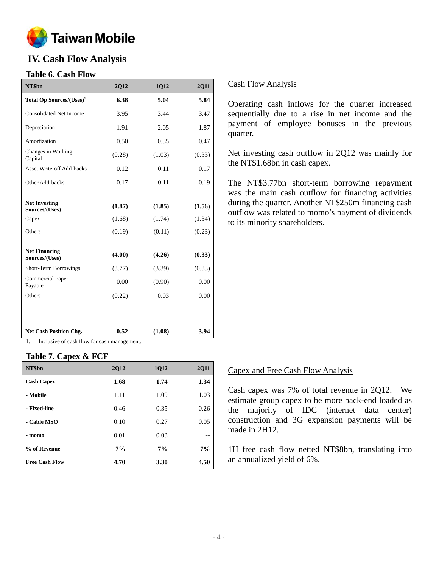

# **IV. Cash Flow Analysis**

## **Table 6. Cash Flow**

| NT\$bn                                          | <b>2Q12</b>      | 1Q12             | <b>2Q11</b>      |
|-------------------------------------------------|------------------|------------------|------------------|
| Total Op Sources/(Uses) <sup>1</sup>            | 6.38             | 5.04             | 5.84             |
| Consolidated Net Income                         | 3.95             | 3.44             | 3.47             |
| Depreciation                                    | 1.91             | 2.05             | 1.87             |
| Amortization                                    | 0.50             | 0.35             | 0.47             |
| Changes in Working<br>Capital                   | (0.28)           | (1.03)           | (0.33)           |
| <b>Asset Write-off Add-backs</b>                | 0.12             | 0.11             | 0.17             |
| Other Add-backs                                 | 0.17             | 0.11             | 0.19             |
| <b>Net Investing</b><br>Sources/(Uses)<br>Capex | (1.87)<br>(1.68) | (1.85)<br>(1.74) | (1.56)<br>(1.34) |
| Others                                          | (0.19)           | (0.11)           | (0.23)           |
| <b>Net Financing</b><br>Sources/(Uses)          | (4.00)           | (4.26)           | (0.33)           |
| Short-Term Borrowings                           | (3.77)           | (3.39)           | (0.33)           |
| <b>Commercial Paper</b><br>Payable              | 0.00             | (0.90)           | 0.00             |
| Others                                          | (0.22)           | 0.03             | 0.00             |
|                                                 |                  |                  |                  |
| <b>Net Cash Position Chg.</b>                   | 0.52             | (1.08)           | 3.94             |

1. Inclusive of cash flow for cash management.

## **Table 7. Capex & FCF**

| NT\$bn                | <b>2Q12</b> | 1Q12 | <b>2Q11</b> |
|-----------------------|-------------|------|-------------|
| <b>Cash Capex</b>     | 1.68        | 1.74 | 1.34        |
| - Mobile              | 1.11        | 1.09 | 1.03        |
| - Fixed-line          | 0.46        | 0.35 | 0.26        |
| - Cable MSO           | 0.10        | 0.27 | 0.05        |
| - momo                | 0.01        | 0.03 | --          |
| % of Revenue          | 7%          | 7%   | 7%          |
| <b>Free Cash Flow</b> | 4.70        | 3.30 | 4.50        |

## Cash Flow Analysis

Operating cash inflows for the quarter increased sequentially due to a rise in net income and the payment of employee bonuses in the previous quarter.

Net investing cash outflow in 2Q12 was mainly for the NT\$1.68bn in cash capex.

The NT\$3.77bn short-term borrowing repayment was the main cash outflow for financing activities during the quarter. Another NT\$250m financing cash outflow was related to momo's payment of dividends to its minority shareholders.

## Capex and Free Cash Flow Analysis

Cash capex was 7% of total revenue in 2Q12. We estimate group capex to be more back-end loaded as the majority of IDC (internet data center) construction and 3G expansion payments will be made in 2H12.

1H free cash flow netted NT\$8bn, translating into an annualized yield of 6%.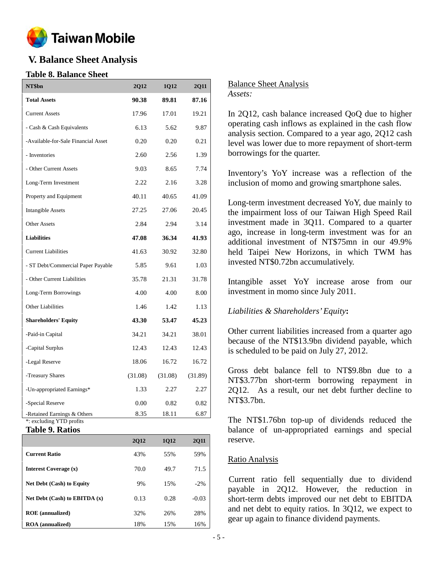

# **V. Balance Sheet Analysis**

## **Table 8. Balance Sheet**

| NT\$bn                                                  | 2Q12    | 1Q12    | <b>2Q11</b> |
|---------------------------------------------------------|---------|---------|-------------|
| <b>Total Assets</b>                                     | 90.38   | 89.81   | 87.16       |
| <b>Current Assets</b>                                   | 17.96   | 17.01   | 19.21       |
| - Cash & Cash Equivalents                               | 6.13    | 5.62    | 9.87        |
| -Available-for-Sale Financial Asset                     | 0.20    | 0.20    | 0.21        |
| - Inventories                                           | 2.60    | 2.56    | 1.39        |
| - Other Current Assets                                  | 9.03    | 8.65    | 7.74        |
| Long-Term Investment                                    | 2.22    | 2.16    | 3.28        |
| Property and Equipment                                  | 40.11   | 40.65   | 41.09       |
| <b>Intangible Assets</b>                                | 27.25   | 27.06   | 20.45       |
| <b>Other Assets</b>                                     | 2.84    | 2.94    | 3.14        |
| <b>Liabilities</b>                                      | 47.08   | 36.34   | 41.93       |
| <b>Current Liabilities</b>                              | 41.63   | 30.92   | 32.80       |
| - ST Debt/Commercial Paper Payable                      | 5.85    | 9.61    | 1.03        |
| - Other Current Liabilities                             | 35.78   | 21.31   | 31.78       |
| Long-Term Borrowings                                    | 4.00    | 4.00    | 8.00        |
| Other Liabilities                                       | 1.46    | 1.42    | 1.13        |
| <b>Shareholders' Equity</b>                             | 43.30   | 53.47   | 45.23       |
| -Paid-in Capital                                        | 34.21   | 34.21   | 38.01       |
| -Capital Surplus                                        | 12.43   | 12.43   | 12.43       |
| -Legal Reserve                                          | 18.06   | 16.72   | 16.72       |
| -Treasury Shares                                        | (31.08) | (31.08) | (31.89)     |
| -Un-appropriated Earnings*                              | 1.33    | 2.27    | 2.27        |
| -Special Reserve                                        | 0.00    | 0.82    | 0.82        |
| -Retained Earnings & Others<br>*: excluding YTD profits | 8.35    | 18.11   | 6.87        |

**Table 9. Ratios**

|                                   | <b>2Q12</b> | 1Q12 | <b>2Q11</b> |
|-----------------------------------|-------------|------|-------------|
| <b>Current Ratio</b>              | 43%         | 55%  | 59%         |
| <b>Interest Coverage (x)</b>      | 70.0        | 49.7 | 71.5        |
| <b>Net Debt (Cash) to Equity</b>  | 9%          | 15%  | $-2\%$      |
| Net Debt $(Cash)$ to EBITDA $(x)$ | 0.13        | 0.28 | $-0.03$     |
| <b>ROE</b> (annualized)           | 32%         | 26%  | 28%         |
| <b>ROA</b> (annualized)           | 18%         | 15%  | 16%         |

Balance Sheet Analysis *Assets:*

In 2Q12, cash balance increased QoQ due to higher operating cash inflows as explained in the cash flow analysis section. Compared to a year ago, 2Q12 cash level was lower due to more repayment of short-term borrowings for the quarter.

Inventory's YoY increase was a reflection of the inclusion of momo and growing smartphone sales.

Long-term investment decreased YoY, due mainly to the impairment loss of our Taiwan High Speed Rail investment made in 3Q11. Compared to a quarter ago, increase in long-term investment was for an additional investment of NT\$75mn in our 49.9% held Taipei New Horizons, in which TWM has invested NT\$0.72bn accumulatively.

Intangible asset YoY increase arose from our investment in momo since July 2011.

## *Liabilities & Shareholders'Equity***:**

Other current liabilities increased from a quarter ago because of the NT\$13.9bn dividend payable, which is scheduled to be paid on July 27, 2012.

Gross debt balance fell to NT\$9.8bn due to a NT\$3.77bn short-term borrowing repayment in 2Q12. As a result, our net debt further decline to NT\$3.7bn.

The NT\$1.76bn top-up of dividends reduced the balance of un-appropriated earnings and special reserve.

## Ratio Analysis

Current ratio fell sequentially due to dividend payable in 2Q12. However, the reduction in short-term debts improved our net debt to EBITDA and net debt to equity ratios. In 3Q12, we expect to gear up again to finance dividend payments.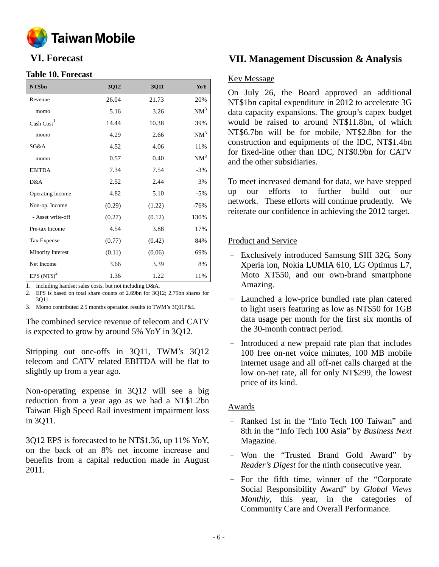

## **Table 10. Forecast**

| NT\$bn               | 3Q12   | 3Q11   | YoY    |
|----------------------|--------|--------|--------|
| Revenue              | 26.04  | 21.73  | 20%    |
| momo                 | 5.16   | 3.26   | $NM^3$ |
| $\text{Cash Cost}^1$ | 14.44  | 10.38  | 39%    |
| momo                 | 4.29   | 2.66   | $NM^3$ |
| SG&A                 | 4.52   | 4.06   | 11%    |
| momo                 | 0.57   | 0.40   | $NM^3$ |
| <b>EBITDA</b>        | 7.34   | 7.54   | $-3%$  |
| D&A                  | 2.52   | 2.44   | 3%     |
| Operating Income     | 4.82   | 5.10   | $-5%$  |
| Non-op. Income       | (0.29) | (1.22) | $-76%$ |
| - Asset write-off    | (0.27) | (0.12) | 130%   |
| Pre-tax Income       | 4.54   | 3.88   | 17%    |
| Tax Expense          | (0.77) | (0.42) | 84%    |
| Minority Interest    | (0.11) | (0.06) | 69%    |
| Net Income           | 3.66   | 3.39   | 8%     |
| EPS $(NTS)^2$        | 1.36   | 1.22   | 11%    |

1. Including handset sales costs, but not including D&A.

2. EPS is based on total share counts of 2.69bn for 3Q12; 2.79bn shares for 3Q11.

3. Momo contributed 2.5 months operation results to TWM's 3Q11P&L

The combined service revenue of telecom and CATV is expected to grow by around 5% YoY in 3Q12.

Stripping out one-offs in 3Q11, TWM's 3Q12 telecom and CATV related EBITDA will be flat to slightly up from a year ago.

Non-operating expense in 3Q12 will see a big reduction from a year ago as we had a NT\$1.2bn Taiwan High Speed Rail investment impairment loss in 3Q11.

3Q12 EPS is forecasted to be NT\$1.36, up 11% YoY, on the back of an 8% net income increase and benefits from a capital reduction made in August 2011.

## **VI. Forecast VII. Management Discussion & Analysis**

## Key Message

On July 26, the Board approved an additional NT\$1bn capital expenditure in 2012 to accelerate 3G data capacity expansions. The group's capex budget would be raised to around NT\$11.8bn, of which NT\$6.7bn will be for mobile, NT\$2.8bn for the construction and equipments of the IDC, NT\$1.4bn for fixed-line other than IDC, NT\$0.9bn for CATV and the other subsidiaries.

To meet increased demand for data, we have stepped up our efforts to further build out our network. These efforts will continue prudently. We reiterate our confidence in achieving the 2012 target.

## Product and Service

- Exclusively introduced Samsung SIII 32G, Sony Xperia ion, Nokia LUMIA 610, LG Optimus L7, Moto XT550, and our own-brand smartphone Amazing.
- Launched a low-price bundled rate plan catered to light users featuring as low as NT\$50 for 1GB data usage per month for the first six months of the 30-month contract period.
- Introduced a new prepaid rate plan that includes 100 free on-net voice minutes, 100 MB mobile internet usage and all off-net calls charged at the low on-net rate, all for only NT\$299, the lowest price of its kind.

## Awards

- Ranked 1st in the "Info Tech 100 Taiwan" and 8th in the "Info Tech 100 Asia" by *Business Next* Magazine.
- Won the "Trusted Brand Gold Award" by *Reader's Digest* for the ninth consecutive year.
- For the fifth time, winner of the "Corporate Social Responsibility Award" by *Global Views Monthly*, this year, in the categories of Community Care and Overall Performance.